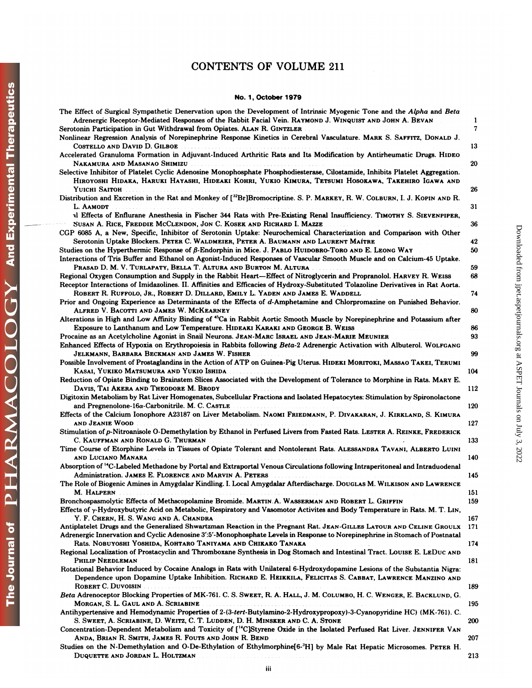# The Journal of  $\begin{array}{cc} \mathrm{PHAAMACOLOGY} \end{array}$  And Experimental Therapeutics

# **CONTENTS OF VOLUME 211**

# No. 1, October 1979

| The Effect of Surgical Sympathetic Denervation upon the Development of Intrinsic Myogenic Tone and the Alpha and Beta<br>Adrenergic Receptor-Mediated Responses of the Rabbit Facial Vein. RAYMOND J. WINQUIST AND JOHN A. BEVAN     | 1   |
|--------------------------------------------------------------------------------------------------------------------------------------------------------------------------------------------------------------------------------------|-----|
| Serotonin Participation in Gut Withdrawal from Opiates. ALAN R. GINTZLER                                                                                                                                                             | 7   |
| Nonlinear Regression Analysis of Norepinephrine Response Kinetics in Cerebral Vasculature. MARK S. SAFFITZ, DONALD J.<br>COSTELLO AND DAVID D. GILBOE.                                                                               | 13  |
| Accelerated Granuloma Formation in Adjuvant-Induced Arthritic Rats and Its Modification by Antirheumatic Drugs. HIDEO                                                                                                                | 20  |
| Selective Inhibitor of Platelet Cyclic Adenosine Monophosphate Phosphodiesterase, Cilostamide, Inhibits Platelet Aggregation.<br>HIROYOSHI HIDAKA, HARUKI HAYASHI, HIDEAKI KOHRI, YUKIO KIMURA, TETSUMI HOSOKAWA, TAKEHIRO IGAWA AND |     |
| YUICHI SAITOH                                                                                                                                                                                                                        | 26  |
| Distribution and Excretion in the Rat and Monkey of [ <sup>32</sup> Br]Bromocriptine. S. P. MARKEY, R. W. COLBURN, I. J. KOPIN AND R.                                                                                                |     |
| L. AAMODT<br>al Effects of Enflurane Anesthesia in Fischer 344 Rats with Pre-Existing Renal Insufficiency. TIMOTHY S. SIEVENPIPER,                                                                                                   | 31  |
| SUSAN A. RICE, FREDDIE MCCLENDON, JON C. KOSEK AND RICHARD I. MAZZE<br>CGP 6085 A, a New, Specific, Inhibitor of Serotonin Uptake: Neurochemical Characterization and Comparison with Other                                          | 36  |
| Serotonin Uptake Blockers. PETER C. WALDMEIER, PETER A. BAUMANN AND LAURENT MAÍTRE                                                                                                                                                   | 42  |
| Studies on the Hyperthermic Response of β-Endorphin in Mice. J. PABLO HUIDOBRO-TORO AND E. LEONG WAY                                                                                                                                 | 50  |
| Interactions of Tris Buffer and Ethanol on Agonist-Induced Responses of Vascular Smooth Muscle and on Calcium-45 Uptake.                                                                                                             |     |
| PRASAD D. M. V. TURLAPATY, BELLA T. ALTURA AND BURTON M. ALTURA                                                                                                                                                                      | 59  |
| Regional Oxygen Consumption and Supply in the Rabbit Heart—Effect of Nitroglycerin and Propranolol. HARVEY R. WEISS                                                                                                                  | 68  |
| Receptor Interactions of Imidazolines. II. Affinities and Efficacies of Hydroxy-Substituted Tolazoline Derivatives in Rat Aorta.<br>ROBERT R. RUFFOLO, JR., ROBERT D. DILLARD, EMILY L. YADEN AND JAMES E. WADDELL                   |     |
| Prior and Ongoing Experience as Determinants of the Effects of d-Amphetamine and Chlorpromazine on Punished Behavior.                                                                                                                | 74  |
| ALFRED V. BACOTTI AND JAMES W. MCKEARNEY                                                                                                                                                                                             | 80  |
| Alterations in High and Low Affinity Binding of <sup>45</sup> Ca in Rabbit Aortic Smooth Muscle by Norepinephrine and Potassium after                                                                                                |     |
| Exposure to Lanthanum and Low Temperature. HIDEAKI KARAKI AND GEORGE B. WEISS                                                                                                                                                        | 86  |
| Procaine as an Acetylcholine Agonist in Snail Neurons. JEAN-MARC ISRAEL AND JEAN-MARIE MEUNIER                                                                                                                                       | 93  |
| Enhanced Effects of Hypoxia on Erythropoiesis in Rabbits following Beta-2 Adrenergic Activation with Albuterol. WOLFGANG<br>JELKMANN, BARBARA BECKMAN AND JAMES W. FISHER                                                            | 99  |
| Possible Involvement of Prostaglandins in the Action of ATP on Guinea-Pig Uterus. HIDEKI MORITOKI, MASSAO TAKEI, TERUMI                                                                                                              |     |
| KASAI, YUKIKO MATSUMURA AND YUKIO ISHIDA<br>Reduction of Opiate Binding to Brainstem Slices Associated with the Development of Tolerance to Morphine in Rats. MARY E.                                                                | 104 |
| DAVIS, TAI AKERA AND THEODORE M. BRODY                                                                                                                                                                                               | 112 |
| Digitoxin Metabolism by Rat Liver Homogenates, Subcellular Fractions and Isolated Hepatocytes: Stimulation by Spironolactone                                                                                                         |     |
| and Pregnenolone-16a-Carbonitrile. M. C. CASTLE                                                                                                                                                                                      | 120 |
| Effects of the Calcium Ionophore A23187 on Liver Metabolism. NAOMI FRIEDMANN, P. DIVAKARAN, J. KIRKLAND, S. KIMURA<br>AND JEANIE WOOD                                                                                                | 127 |
| Stimulation of p-Nitroanisole O-Demethylation by Ethanol in Perfused Livers from Fasted Rats. LESTER A. REINKE, FREDERICK                                                                                                            |     |
| C. KAUFFMAN AND RONALD G. THURMAN                                                                                                                                                                                                    | 133 |
| Time Course of Etorphine Levels in Tissues of Opiate Tolerant and Nontolerant Rats. ALESSANDRA TAVANI, ALBERTO LUINI<br>and Luciano Manara                                                                                           | 140 |
| Absorption of <sup>14</sup> C-Labeled Methadone by Portal and Extraportal Venous Circulations following Intraperitoneal and Intraduodenal                                                                                            |     |
| Administration. JAMES E. FLORENCE AND MARVIN A. PETERS                                                                                                                                                                               | 145 |
| The Role of Biogenic Amines in Amygdalar Kindling. I. Local Amygdalar Afterdischarge. DougLas M. WILKISON AND LAWRENCE<br>M. HALPERN                                                                                                 | 151 |
| Bronchospasmolytic Effects of Methscopolamine Bromide. MARTIN.A. WASSERMAN AND ROBERT L. GRIFFIN                                                                                                                                     | 159 |
| Effects of y-Hydroxybutyric Acid on Metabolic, Respiratory and Vasomotor Activites and Body Temperature in Rats. M. T. LIN,                                                                                                          |     |
| Y. F. CHERN, H. S. WANG AND A. CHANDRA<br>Antiplatelet Drugs and the Generalized Shwartzman Reaction in the Pregnant Rat. JEAN-GILLES LATOUR AND CELINE GROULX                                                                       | 167 |
| Adrenergic Innervation and Cyclic Adenosine 3':5'-Monophosphate Levels in Response to Norepinephrine in Stomach of Postnatal                                                                                                         | 171 |
| Rats. NOBUYOSHI YOSHIDA, KOHTARO TANIYAMA AND CHIKAKO TANAKA<br>Regional Localization of Prostacyclin and Thromboxane Synthesis in Dog Stomach and Intestinal Tract. LOUISE E. LEDUC AND                                             | 174 |
| PHILIP NEEDLEMAN                                                                                                                                                                                                                     | 181 |
| Rotational Behavior Induced by Cocaine Analogs in Rats with Unilateral 6-Hydroxydopamine Lesions of the Substantia Nigra:                                                                                                            |     |
| Dependence upon Dopamine Uptake Inhibition. RICHARD E. HEIKKILA, FELICITAS S. CABBAT, LAWRENCE MANZINO AND<br>ROBERT C. DUVOISIN NAMES AND ROBERT C. DUVOISIN                                                                        | 189 |
| Beta Adrenoceptor Blocking Properties of MK-761. C. S. SWEET, R. A. HALL, J. M. COLUMBO, H. C. WENGER, E. BACKLUND, G.                                                                                                               |     |
| MORGAN, S. L. GAUL AND A. SCRIABINE                                                                                                                                                                                                  | 195 |
| Antihypertensive and Hemodynamic Properties of 2-(3-tert-Butylamino-2-Hydroxypropoxy)-3-Cyanopyridine HC) (MK-761). C.                                                                                                               |     |
| S. SWEET, A. SCRIABINE, D. WEITZ, C. T. LUDDEN, D. H. MINSKER AND C. A. STONE<br>Concentration-Dependent Metabolism and Toxicity of [ <sup>14</sup> C]Styrene Oxide in the Isolated Perfused Rat Liver. JENNIFER VAN                 | 200 |
| ANDA, BRIAN R. SMITH, JAMES R. FOUTS AND JOHN R. BEND <b>STATES AND A</b>                                                                                                                                                            | 207 |
| Studies on the N-Demethylation and O-De-Ethylation of Ethylmorphine[6- <sup>3</sup> H] by Male Rat Hepatic Microsomes. PETER H.                                                                                                      |     |
| DUQUETTE AND JORDAN L. HOLTZMAN                                                                                                                                                                                                      | 213 |
|                                                                                                                                                                                                                                      |     |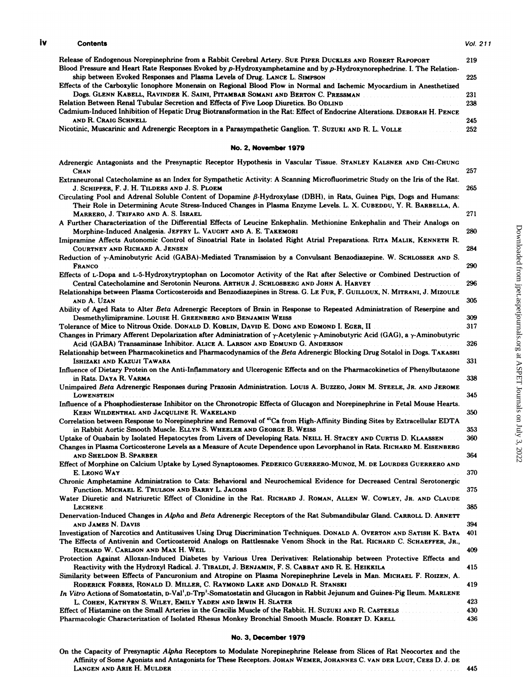# iv Contents Vol. 211

| <b>Contents</b>                                                                                                            | Vol. 211 |
|----------------------------------------------------------------------------------------------------------------------------|----------|
| Release of Endogenous Norepinephrine from a Rabbit Cerebral Artery. Sue PIPER DuckLES AND ROBERT RAPOPORT                  | 219      |
| Blood Pressure and Heart Rate Responses Evoked by p-Hydroxyamphetamine and by p-Hydroxynorephedrine. I. The Relation-      |          |
| ship between Evoked Responses and Plasma Levels of Drug. LANCE L. SIMPSON                                                  | 225      |
| Effects of the Carboxylic Ionophore Monensin on Regional Blood Flow in Normal and Ischemic Myocardium in Anesthetized      |          |
| Dogs. Glenn Kabell, Ravinder K. Saini, Pitambar Somani and Berton C. Pressman                                              | 231      |
| Relation Between Renal Tubular Secretion and Effects of Five Loop Diuretics. Bo ODLIND And The Context of the 238          |          |
| Cadmium-Induced Inhibition of Hepatic Drug Biotransformation in the Rat: Effect of Endocrine Alterations. DEBORAH H. PENCE |          |
| AND R. CRAIG SCHNELL                                                                                                       | 245      |
| Nicotinic, Muscarinic and Adrenergic Receptors in a Parasympathetic Ganglion. T. SUZUKI AND R. L. VOLLE                    | 252      |

## No. 2, November 1979

| <b>No. 2, November 1979</b>                                                                                                                                                                                                                                                                                                                                                  |            |
|------------------------------------------------------------------------------------------------------------------------------------------------------------------------------------------------------------------------------------------------------------------------------------------------------------------------------------------------------------------------------|------------|
| Adrenergic Antagonists and the Presynaptic Receptor Hypothesis in Vascular Tissue. STANLEY KALSNER AND CHI-CHUNG<br>CHAN                                                                                                                                                                                                                                                     | 257        |
| Extraneuronal Catecholamine as an Index for Sympathetic Activity: A Scanning Microfluorimetric Study on the Iris of the Rat.<br>J. SCHIPPER, F. J. H. TILDERS AND J. S. PLOEM                                                                                                                                                                                                | 265        |
| Circulating Pool and Adrenal Soluble Content of Dopamine $\beta$ -Hydroxylase (DBH), in Rats, Guinea Pigs, Dogs and Humans:<br>Their Role in Determining Acute Stress-Induced Changes in Plasma Enzyme Levels. L. X. CUBEDDU, Y. R. BARBELLA, A.<br>MARRERO, J. TRIFARO AND A. S. ISRAEL                                                                                     | 271        |
| A Further Characterization of the Differential Effects of Leucine Enkephalin. Methionine Enkephalin and Their Analogs on<br>Morphine-Induced Analgesia. JEFFRY L. VAUGHT AND A. E. TAKEMORI<br>.<br>In determination of the company of the company of the company of the company of the company of the company of                                                            | 280        |
| Imipramine Affects Autonomic Control of Sinoatrial Rate in Isolated Right Atrial Preparations. RITA MALIK, KENNETH R.<br>COURTNEY AND RICHARD A. JENSEN                                                                                                                                                                                                                      | 284        |
| Reduction of y-Aminobutyric Acid (GABA)-Mediated Transmission by a Convulsant Benzodiazepine. W. SCHLOSSER AND S.<br>FRANCO                                                                                                                                                                                                                                                  | 290        |
| Effects of L-Dopa and L-5-Hydroxytryptophan on Locomotor Activity of the Rat after Selective or Combined Destruction of<br>Central Catecholamine and Serotonin Neurons. ARTHUR J. SCHLOSBERG AND JOHN A. HARVEY                                                                                                                                                              | 296        |
| Relationships between Plasma Corticosteroids and Benzodiazepines in Stress. G. LE FUR, F. GUILLOUX, N. MITRANI, J. MIZOULE<br>and A. Uzan                                                                                                                                                                                                                                    | 305        |
| Ability of Aged Rats to Alter Beta Adrenergic Receptors of Brain in Response to Repeated Administration of Reserpine and<br>Desmethylimipramine. LOUISE H. GREENBERG AND BENJAMIN WEISS                                                                                                                                                                                      | 309        |
| Tolerance of Mice to Nitrous Oxide. Donald D. KOBLIN, DAVID E. Dong and Edmond I. Eger, II was also the                                                                                                                                                                                                                                                                      | 317        |
| Changes in Primary Afferent Depolarization after Administration of $\gamma$ -Acetylenic $\gamma$ -Aminobutyric Acid (GAG), a $\gamma$ -Aminobutyric<br>Acid (GABA) Transaminase Inhibitor. ALICE A. LARSON AND EDMUND G. ANDERSON                                                                                                                                            | 326        |
| Relationship between Pharmacokinetics and Pharmacodynamics of the Beta Adrenergic Blocking Drug Sotalol in Dogs. TAKASHI<br>ISHIZAKI AND KAZUJI TAWARA                                                                                                                                                                                                                       | 331        |
| Influence of Dietary Protein on the Anti-Inflammatory and Ulcerogenic Effects and on the Pharmacokinetics of Phenylbutazone<br>in Rats. DAYA R. VARMA                                                                                                                                                                                                                        | 338        |
| Unimpaired Beta Adrenergic Responses during Prazosin Administration. LOUIS A. BUZZEO, JOHN M. STEELE, JR. AND JEROME<br>LOWENSTEIN                                                                                                                                                                                                                                           | 345        |
| Influence of a Phosphodiesterase Inhibitor on the Chronotropic Effects of Glucagon and Norepinephrine in Fetal Mouse Hearts.<br>KERN WILDENTHAL AND JACQULINE R. WAKELAND                                                                                                                                                                                                    | 350        |
| Correlation between Response to Norepinephrine and Removal of <sup>45</sup> Ca from High-Affinity Binding Sites by Extracellular EDTA<br>in Rabbit Aortic Smooth Muscle. ELLYN S. WHEELER AND GEORGE B. WEISS                                                                                                                                                                | 353        |
| Uptake of Ouabain by Isolated Hepatocytes from Livers of Developing Rats. NEILL H. STACEY AND CURTIS D. KLAASSEN<br>Changes in Plasma Corticosterone Levels as a Measure of Acute Dependence upon Levorphanol in Rats. RICHARD M. EISENBERG<br>and Sheldon B. Sparber<br>the contract of the contract of the contract of the contract of the contract of the contract of the | 360<br>364 |
| Effect of Morphine on Calcium Uptake by Lysed Synaptosomes. FEDERICO GUERRERO-MUNOZ, M. DE LOURDES GUERRERO AND<br>E. LEONG WAY                                                                                                                                                                                                                                              | 370        |
| Chronic Amphetamine Administration to Cats: Behavioral and Neurochemical Evidence for Decreased Central Serotonergic                                                                                                                                                                                                                                                         | 375        |
| Water Diuretic and Natriuretic Effect of Clonidine in the Rat. RICHARD J. ROMAN, ALLEN W. COWLEY, JR. AND CLAUDE<br>LECHENE.                                                                                                                                                                                                                                                 | 385        |
| Denervation-Induced Changes in Alpha and Beta Adrenergic Receptors of the Rat Submandibular Gland. CARROLL D. ARNETT<br>and James N. Davis                                                                                                                                                                                                                                   | 394        |
| Investigation of Narcotics and Antitussives Using Drug Discrimination Techniques. DONALD A. OVERTON AND SATISH K. BATA<br>The Effects of Antivenin and Corticosteroid Analogs on Rattlesnake Venom Shock in the Rat. RICHARD C. SCHAEFFER, JR.,                                                                                                                              | 401        |
| RICHARD W. CARLSON AND MAX H. WEIL<br>Protection Against Alloxan-Induced Diabetes by Various Urea Derivatives: Relationship between Protective Effects and                                                                                                                                                                                                                   | 409        |
| Reactivity with the Hydroxyl Radical. J. TIBALDI, J. BENJAMIN, F. S. CABBAT AND R. E. HEIKKILA<br>Similarity between Effects of Pancuronium and Atropine on Plasma Norepinephrine Levels in Man. MICHAEL F. ROIZEN, A.<br>RODERICK FORBES, RONALD D. MILLER, C. RAYMOND LAKE AND DONALD R. STANSKI                                                                           | 415        |
| In Vitro Actions of Somatostatin, D-Val <sup>1</sup> ,D-Trp <sup>3</sup> -Somatostatin and Glucagon in Rabbit Jejunum and Guinea-Pig Ileum. MARLENE                                                                                                                                                                                                                          | 419        |
| L. COHEN, KATHYRN S. WILEY, EMILY YADEN AND IRWIN H. SLATER<br>Effect of Histamine on the Small Arteries in the Gracilis Muscle of the Rabbit. H. SUZUKI AND R. CASTEELS<br>.<br>Tanzania da matsayar a matsayar a matsayar a matsayar a matsayar a matsayar a matsayar a matsayar a matsayar a                                                                              | 423<br>430 |
| Pharmacologic Characterization of Isolated Rhesus Monkey Bronchial Smooth Muscle. ROBERT D. KRELL                                                                                                                                                                                                                                                                            | 436        |
|                                                                                                                                                                                                                                                                                                                                                                              |            |

Pharmacologic Characterization of Isolated Rhesus Monkey Bronchial Smooth Muscle. ROBERT D. KRELL<br> **No. 3, December 1979**<br>
On the Capacity of Presynaptic *Alpha* Receptors to Modulate Norepinephrine Release from Slices of LANGEN AND ARIE H. MULDER **AND ARIE H. MULDER And 445**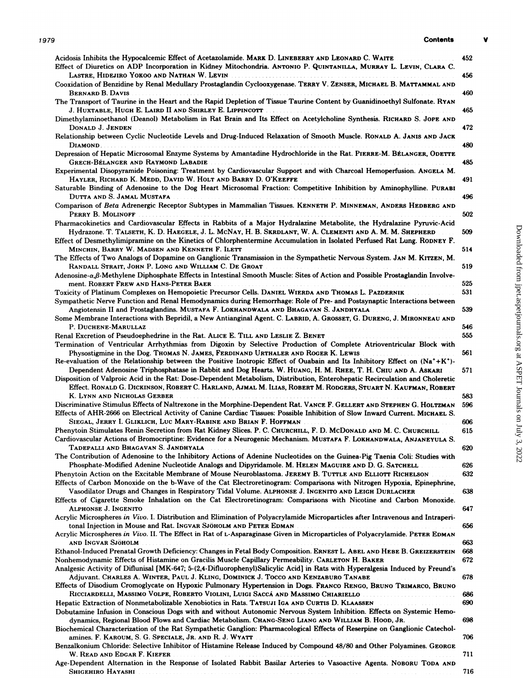| <b>Contents</b><br>1979                                                                                                                                                                                                                                                                                                                                                                                                                                                                       | v          |
|-----------------------------------------------------------------------------------------------------------------------------------------------------------------------------------------------------------------------------------------------------------------------------------------------------------------------------------------------------------------------------------------------------------------------------------------------------------------------------------------------|------------|
| Acidosis Inhibits the Hypocalcemic Effect of Acetazolamide. MARK D. LINEBERRY AND LEONARD C. WAITE<br>Effect of Diuretics on ADP Incorporation in Kidney Mitochondria. ANTONIO P. QUINTANILLA, MURRAY L. LEVIN, CLARA C.                                                                                                                                                                                                                                                                      | 452        |
| Cooxidation of Benzidine by Renal Medullary Prostaglandin Cyclooxygenase. TERRY V. ZENSER, MICHAEL B. MATTAMMAL AND                                                                                                                                                                                                                                                                                                                                                                           | 456        |
| BERNARD B. DAVIS<br>The Transport of Taurine in the Heart and the Rapid Depletion of Tissue Taurine Content by Guanidinoethyl Sulfonate. RYAN                                                                                                                                                                                                                                                                                                                                                 | 460        |
| Dimethylaminoethanol (Deanol) Metabolism in Rat Brain and Its Effect on Acetylcholine Synthesis. RICHARD S. JOPE AND                                                                                                                                                                                                                                                                                                                                                                          | 465        |
| DONALD J. JENDEN<br>Relationship between Cyclic Nucleotide Levels and Drug-Induced Relaxation of Smooth Muscle. RONALD A. JANIS AND JACK                                                                                                                                                                                                                                                                                                                                                      | 472        |
| Depression of Hepatic Microsomal Enzyme Systems by Amantadine Hydrochloride in the Rat. PIERRE-M. BÉLANGER, ODETTE                                                                                                                                                                                                                                                                                                                                                                            | 480        |
| GRECH-BÉLANGER AND RAYMOND LABADIE FOR AN ARRIVERS AND THE RECHARGED AND RECHARGED AND RECHARGED AND RECHARGED<br>Experimental Disopyramide Poisoning: Treatment by Cardiovascular Support and with Charcoal Hemoperfusion. ANGELA M.                                                                                                                                                                                                                                                         | 485        |
| HAYLER, RICHARD K. MEDD, DAVID W. HOLT AND BARRY D. O'KEEFFE<br>Saturable Binding of Adenosine to the Dog Heart Microsomal Fraction: Competitive Inhibition by Aminophylline. PURABI                                                                                                                                                                                                                                                                                                          | 491        |
| Comparison of Beta Adrenergic Receptor Subtypes in Mammalian Tissues. KENNETH P. MINNEMAN, ANDERS HEDBERG AND                                                                                                                                                                                                                                                                                                                                                                                 | 496        |
| PERRY B. MOLINOFF<br>Pharmacokinetics and Cardiovascular Effects in Rabbits of a Major Hydralazine Metabolite, the Hydralazine Pyruvic-Acid                                                                                                                                                                                                                                                                                                                                                   | 502        |
| Hydrazone. T. TALSETH, K. D. HAEGELE, J. L. MCNAY, H. B. SKRDLANT, W. A. CLEMENTI AND A. M. M. SHEPHERD<br>Effect of Desmethylimipramine on the Kinetics of Chlorphentermine Accumulation in Isolated Perfused Rat Lung. RODNEY F.                                                                                                                                                                                                                                                            | 509        |
| MINCHIN, BARRY W. MADSEN AND KENNETH F. ILETT<br>.<br>The Effects of Two Analogs of Dopamine on Ganglionic Transmission in the Sympathetic Nervous System. JAN M. KITZEN, M.                                                                                                                                                                                                                                                                                                                  | 514        |
| Adenosine- $\alpha$ , $\beta$ -Methylene Diphosphate Effects in Intestinal Smooth Muscle: Sites of Action and Possible Prostaglandin Involve-                                                                                                                                                                                                                                                                                                                                                 | 519        |
| ment. ROBERT FREW AND HANS-PETER BAER MALLER STATE AND THE CONTROL CONTROL TO A CONTROL CONTROL CONTROL CONTROL CONTROL CONTROL CONTROL CONTROL CONTROL CONTROL CONTROL CONTROL CONTROL CONTROL CONTROL CONTROL CONTROL CONTRO<br>Toxicity of Platinum Complexes on Hemopoietic Precursor Cells. DANIEL WIERDA AND THOMAS L. PAZDERNIK<br>Sympathetic Nerve Function and Renal Hemodynamics during Hemorrhage: Role of Pre- and Postsynaptic Interactions between                             | 525<br>531 |
| Angiotensin II and Prostaglandins. MUSTAFA F. LOKHANDWALA AND BHAGAVAN S. JANDHYALA<br>Some Membrane Interactions with Bepridil, a New Antianginal Agent. C. LABRID, A. GROSSET, G. DURENG, J. MIRONNEAU AND                                                                                                                                                                                                                                                                                  | 539        |
|                                                                                                                                                                                                                                                                                                                                                                                                                                                                                               | 546        |
| Renal Excretion of Pseudoephedrine in the Rat. ALICE E. TILL AND LESLIE Z. BENET                                                                                                                                                                                                                                                                                                                                                                                                              | 555        |
| Termination of Ventricular Arrhythmias from Digoxin by Selective Production of Complete Atrioventricular Block with<br>Physostigmine in the Dog. THOMAS N. JAMES, FERDINAND URTHALER AND ROGER K. LEWIS                                                                                                                                                                                                                                                                                       | 561        |
| Re-evaluation of the Relationship between the Positive Inotropic Effect of Ouabain and Its Inhibitory Effect on $(Na^+ + K^+)$<br>Dependent Adenosine Triphosphatase in Rabbit and Dog Hearts. W. HUANG, H. M. RHEE, T. H. CHIU AND A. ASKARI<br>Disposition of Valproic Acid in the Rat: Dose-Dependent Metabolism, Distribution, Enterohepatic Recirculation and Choleretic<br>Effect. RONALD G. DICKINSON, ROBERT C. HARLAND, AJMAL M. ILIAS, ROBERT M. RODGERS, STUART N. KAUFMAN, ROBERT | 571        |
| K. LYNN AND NICHOLAS GERBER                                                                                                                                                                                                                                                                                                                                                                                                                                                                   | 583        |
| Discriminative Stimulus Effects of Naltrexone in the Morphine-Dependent Rat. VANCE F. GELLERT AND STEPHEN G. HOLTZMAN<br>Effects of AHR-2666 on Electrical Activity of Canine Cardiac Tissues: Possible Inhibition of Slow Inward Current. MICHAEL S.                                                                                                                                                                                                                                         | 596        |
| Phenytoin Stimulates Renin Secretion from Rat Kidney Slices. P. C. CHURCHILL, F. D. MCDONALD AND M. C. CHURCHILL                                                                                                                                                                                                                                                                                                                                                                              | 606<br>615 |
| Cardiovascular Actions of Bromocriptine: Evidence for a Neurogenic Mechanism. MUSTAFA F. LOKHANDWALA, ANJANEYULA S.                                                                                                                                                                                                                                                                                                                                                                           | 620        |
| The Contribution of Adenosine to the Inhibitory Actions of Adenine Nucleotides on the Guinea-Pig Taenia Coli: Studies with                                                                                                                                                                                                                                                                                                                                                                    |            |
| Phosphate-Modified Adenine Nucleotide Analogs and Dipyridamole. M. HELEN MAGUIRE AND D. G. SATCHELL                                                                                                                                                                                                                                                                                                                                                                                           | 626        |
| Phenytoin Action on the Excitable Membrane of Mouse Neuroblastoma. JEREMY B. TUTTLE AND ELLIOTT RICHELSON<br>Effects of Carbon Monoxide on the b-Wave of the Cat Electroretinogram: Comparisons with Nitrogen Hypoxia, Epinephrine,<br>Vasodilator Drugs and Changes in Respiratory Tidal Volume. ALPHONSE J. INGENITO AND LEIGH DURLACHER                                                                                                                                                    | 632<br>638 |
| Effects of Cigarette Smoke Inhalation on the Cat Electroretinogram: Comparisons with Nicotine and Carbon Monoxide.<br>ALPHONSE J. INGENITO                                                                                                                                                                                                                                                                                                                                                    | 647        |
| Acrylic Microspheres in Vivo. I. Distribution and Elimination of Polyacrylamide Microparticles after Intravenous and Intraperi-<br>tonal Injection in Mouse and Rat. INGVAR SJÖHOLM AND PETER EDMAN                                                                                                                                                                                                                                                                                           | 656        |
| Acrylic Microspheres in Vivo. II. The Effect in Rat of L-Asparaginase Given in Microparticles of Polyacrylamide. PETER EDMAN<br>and Ingvar Sjöholm                                                                                                                                                                                                                                                                                                                                            | 663        |
| Ethanol-Induced Prenatal Growth Deficiency: Changes in Fetal Body Composition. ERNEST L. ABEL AND HEBE B. GREIZERSTEIN                                                                                                                                                                                                                                                                                                                                                                        | 668        |
| Nonhemodynamic Effects of Histamine on Gracilis Muscle Capillary Permeability. CARLETON H. BAKER<br>Analgesic Activity of Diflunisal [MK-647; 5-(2,4-Difluorophenyl)Salicylic Acid] in Rats with Hyperalgesia Induced by Freund's                                                                                                                                                                                                                                                             | 672        |
| Adjuvant. CHARLES A. WINTER, PAUL J. KLING, DOMINICK J. TOCCO AND KENZABURO TANABE<br>Effects of Disodium Cromoglycate on Hypoxic Pulmonary Hypertension in Dogs. FRANCO RENGO, BRUNO TRIMARCO, BRUNO                                                                                                                                                                                                                                                                                         | 678        |
| RICCIARDELLI, MASSIMO VOLPE, ROBERTO VIOLINI, LUIGI SACCÁ AND MASSIMO CHIARIELLO                                                                                                                                                                                                                                                                                                                                                                                                              | 686        |
| Hepatic Extraction of Nonmetabolizable Xenobiotics in Rats. TATSUJI IGA AND CURTIS D. KLAASSEN<br>Dobutamine Infusion in Conscious Dogs with and without Autonomic Nervous System Inhibition. Effects on Systemic Hemo-<br>dynamics, Regional Blood Flows and Cardiac Metabolism. CHANG-SENG LIANG AND WILLIAM B. HOOD, JR.                                                                                                                                                                   | 690<br>698 |
| Biochemical Characterization of the Rat Sympathetic Ganglion: Pharmacological Effects of Reserpine on Ganglionic Catechol-<br>amines. F. KAROUM, S. G. SPECIALE, JR. AND R. J. WYATT                                                                                                                                                                                                                                                                                                          | 706        |
| Benzalkonium Chloride: Selective Inhibitor of Histamine Release Induced by Compound 48/80 and Other Polyamines. GEORGE                                                                                                                                                                                                                                                                                                                                                                        | 711        |
| Age-Dependent Alternation in the Response of Isolated Rabbit Basilar Arteries to Vasoactive Agents. NOBORU TODA AND<br>Shigehiro Hayashi                                                                                                                                                                                                                                                                                                                                                      | 716        |
|                                                                                                                                                                                                                                                                                                                                                                                                                                                                                               |            |